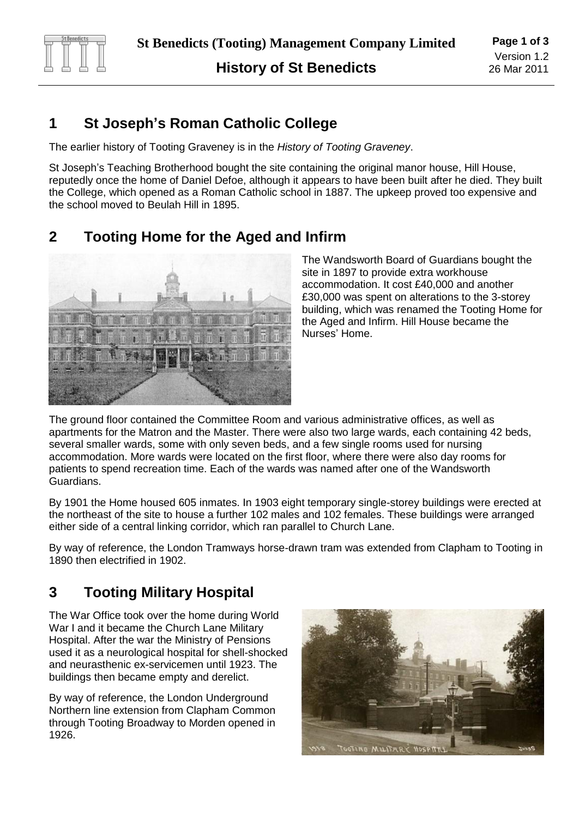

## **1 St Joseph's Roman Catholic College**

The earlier history of Tooting Graveney is in the *History of Tooting Graveney*.

St Joseph's Teaching Brotherhood bought the site containing the original manor house, Hill House, reputedly once the home of Daniel Defoe, although it appears to have been built after he died. They built the College, which opened as a Roman Catholic school in 1887. The upkeep proved too expensive and the school moved to Beulah Hill in 1895.

## **2 Tooting Home for the Aged and Infirm**



The Wandsworth Board of Guardians bought the site in 1897 to provide extra workhouse accommodation. It cost £40,000 and another £30,000 was spent on alterations to the 3-storey building, which was renamed the Tooting Home for the Aged and Infirm. Hill House became the Nurses' Home.

The ground floor contained the Committee Room and various administrative offices, as well as apartments for the Matron and the Master. There were also two large wards, each containing 42 beds, several smaller wards, some with only seven beds, and a few single rooms used for nursing accommodation. More wards were located on the first floor, where there were also day rooms for patients to spend recreation time. Each of the wards was named after one of the Wandsworth Guardians.

By 1901 the Home housed 605 inmates. In 1903 eight temporary single-storey buildings were erected at the northeast of the site to house a further 102 males and 102 females. These buildings were arranged either side of a central linking corridor, which ran parallel to Church Lane.

By way of reference, the London Tramways horse-drawn tram was extended from Clapham to Tooting in 1890 then electrified in 1902.

# **3 Tooting Military Hospital**

The War Office took over the home during World War I and it became the Church Lane Military Hospital. After the war the Ministry of Pensions used it as a neurological hospital for shell-shocked and neurasthenic ex-servicemen until 1923. The buildings then became empty and derelict.

By way of reference, the London Underground Northern line extension from Clapham Common through Tooting Broadway to Morden opened in 1926.

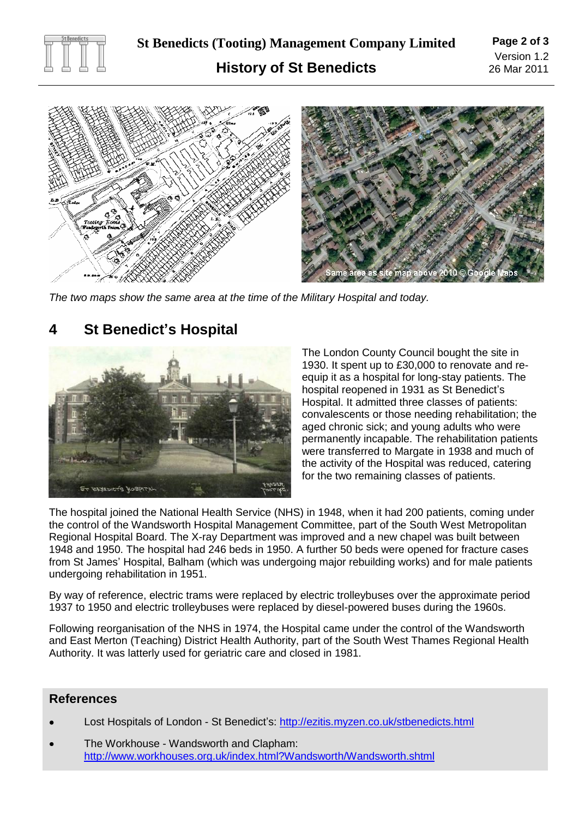



*The two maps show the same area at the time of the Military Hospital and today.*

# **4 St Benedict's Hospital**



The London County Council bought the site in 1930. It spent up to £30,000 to renovate and reequip it as a hospital for long-stay patients. The hospital reopened in 1931 as St Benedict's Hospital. It admitted three classes of patients: convalescents or those needing rehabilitation; the aged chronic sick; and young adults who were permanently incapable. The rehabilitation patients were transferred to Margate in 1938 and much of the activity of the Hospital was reduced, catering for the two remaining classes of patients.

The hospital joined the National Health Service (NHS) in 1948, when it had 200 patients, coming under the control of the Wandsworth Hospital Management Committee, part of the South West Metropolitan Regional Hospital Board. The X-ray Department was improved and a new chapel was built between 1948 and 1950. The hospital had 246 beds in 1950. A further 50 beds were opened for fracture cases from St James' Hospital, Balham (which was undergoing major rebuilding works) and for male patients undergoing rehabilitation in 1951.

By way of reference, electric trams were replaced by electric trolleybuses over the approximate period 1937 to 1950 and electric trolleybuses were replaced by diesel-powered buses during the 1960s.

Following reorganisation of the NHS in 1974, the Hospital came under the control of the Wandsworth and East Merton (Teaching) District Health Authority, part of the South West Thames Regional Health Authority. It was latterly used for geriatric care and closed in 1981.

#### **References**

- Lost Hospitals of London St Benedict's: <http://ezitis.myzen.co.uk/stbenedicts.html>
- The Workhouse Wandsworth and Clapham: <http://www.workhouses.org.uk/index.html?Wandsworth/Wandsworth.shtml>